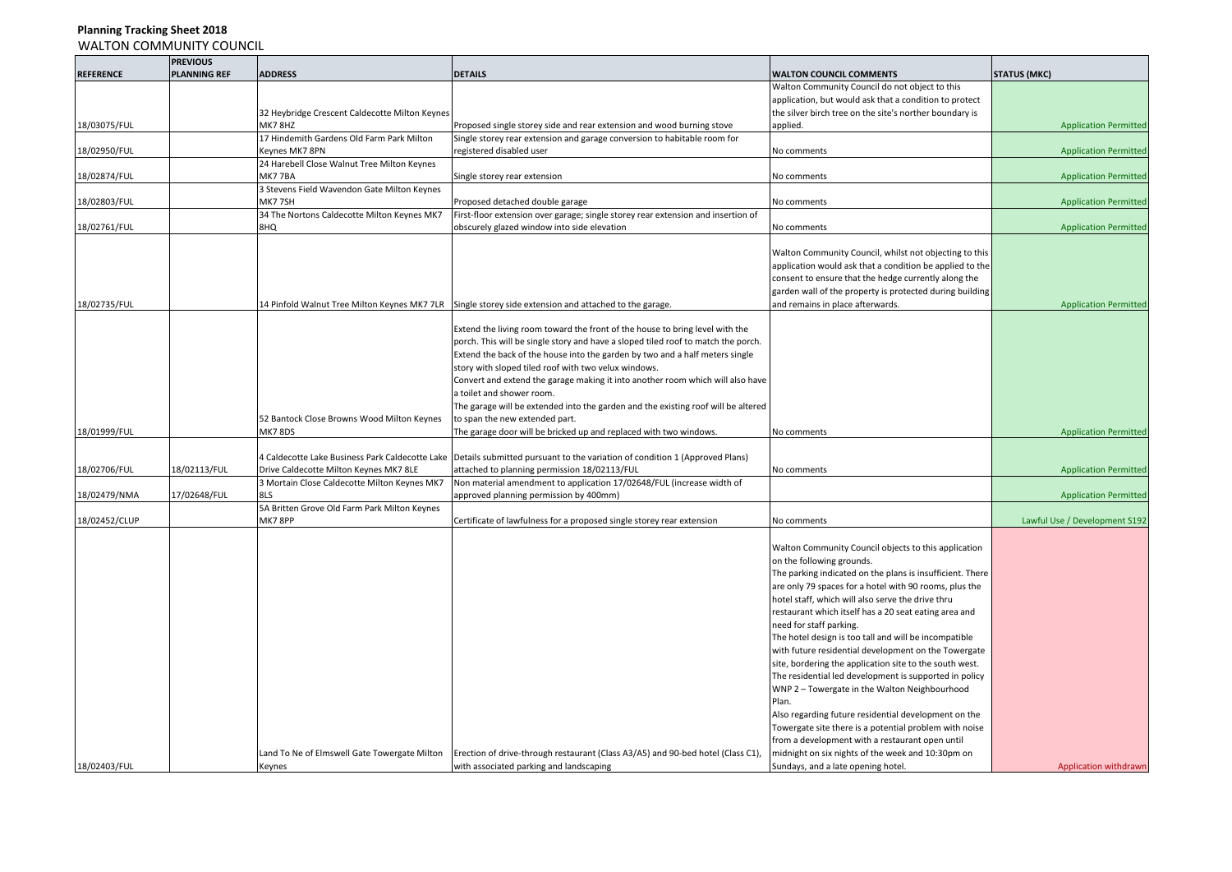|                  | <b>PREVIOUS</b>     |                                                |                                                                                                                             |                                                           |                               |
|------------------|---------------------|------------------------------------------------|-----------------------------------------------------------------------------------------------------------------------------|-----------------------------------------------------------|-------------------------------|
| <b>REFERENCE</b> | <b>PLANNING REF</b> | <b>ADDRESS</b>                                 | <b>DETAILS</b>                                                                                                              | <b>WALTON COUNCIL COMMENTS</b>                            | <b>STATUS (MKC)</b>           |
|                  |                     |                                                |                                                                                                                             | Walton Community Council do not object to this            |                               |
|                  |                     |                                                |                                                                                                                             | application, but would ask that a condition to protect    |                               |
|                  |                     | 32 Heybridge Crescent Caldecotte Milton Keynes |                                                                                                                             | the silver birch tree on the site's norther boundary is   |                               |
| 18/03075/FUL     |                     | MK78HZ                                         | Proposed single storey side and rear extension and wood burning stove                                                       | applied.                                                  | <b>Application Permitted</b>  |
|                  |                     | 17 Hindemith Gardens Old Farm Park Milton      | Single storey rear extension and garage conversion to habitable room for                                                    |                                                           |                               |
| 18/02950/FUL     |                     | Keynes MK7 8PN                                 | registered disabled user                                                                                                    | No comments                                               | <b>Application Permitted</b>  |
|                  |                     | 24 Harebell Close Walnut Tree Milton Keynes    |                                                                                                                             |                                                           |                               |
| 18/02874/FUL     |                     | MK7 7BA                                        | Single storey rear extension                                                                                                | No comments                                               | <b>Application Permitted</b>  |
|                  |                     | 3 Stevens Field Wavendon Gate Milton Keynes    |                                                                                                                             |                                                           |                               |
| 18/02803/FUL     |                     | MK7 7SH                                        | Proposed detached double garage                                                                                             | No comments                                               | <b>Application Permitted</b>  |
|                  |                     | 34 The Nortons Caldecotte Milton Keynes MK7    | First-floor extension over garage; single storey rear extension and insertion of                                            |                                                           |                               |
| 18/02761/FUL     |                     | 8HQ                                            | obscurely glazed window into side elevation                                                                                 | No comments                                               | <b>Application Permitted</b>  |
|                  |                     |                                                |                                                                                                                             |                                                           |                               |
|                  |                     |                                                |                                                                                                                             | Walton Community Council, whilst not objecting to this    |                               |
|                  |                     |                                                |                                                                                                                             | application would ask that a condition be applied to the  |                               |
|                  |                     |                                                |                                                                                                                             | consent to ensure that the hedge currently along the      |                               |
|                  |                     |                                                |                                                                                                                             | garden wall of the property is protected during building  |                               |
| 18/02735/FUL     |                     |                                                | 14 Pinfold Walnut Tree Milton Keynes MK7 7LR Single storey side extension and attached to the garage.                       | and remains in place afterwards.                          | <b>Application Permitted</b>  |
|                  |                     |                                                |                                                                                                                             |                                                           |                               |
|                  |                     |                                                |                                                                                                                             |                                                           |                               |
|                  |                     |                                                | Extend the living room toward the front of the house to bring level with the                                                |                                                           |                               |
|                  |                     |                                                | porch. This will be single story and have a sloped tiled roof to match the porch.                                           |                                                           |                               |
|                  |                     |                                                | Extend the back of the house into the garden by two and a half meters single                                                |                                                           |                               |
|                  |                     |                                                | story with sloped tiled roof with two velux windows.                                                                        |                                                           |                               |
|                  |                     |                                                | Convert and extend the garage making it into another room which will also have                                              |                                                           |                               |
|                  |                     |                                                | a toilet and shower room.                                                                                                   |                                                           |                               |
|                  |                     |                                                | The garage will be extended into the garden and the existing roof will be altered                                           |                                                           |                               |
|                  |                     | 52 Bantock Close Browns Wood Milton Keynes     | to span the new extended part.                                                                                              |                                                           |                               |
| 18/01999/FUL     |                     | <b>MK7 8DS</b>                                 | The garage door will be bricked up and replaced with two windows.                                                           | No comments                                               | <b>Application Permitted</b>  |
|                  |                     |                                                |                                                                                                                             |                                                           |                               |
|                  |                     |                                                | 4 Caldecotte Lake Business Park Caldecotte Lake Details submitted pursuant to the variation of condition 1 (Approved Plans) |                                                           |                               |
| 18/02706/FUL     | 18/02113/FUL        | Drive Caldecotte Milton Keynes MK7 8LE         | attached to planning permission 18/02113/FUL                                                                                | No comments                                               | <b>Application Permitted</b>  |
|                  |                     | 3 Mortain Close Caldecotte Milton Keynes MK7   | Non material amendment to application 17/02648/FUL (increase width of                                                       |                                                           |                               |
| 18/02479/NMA     | 17/02648/FUL        | 8LS                                            | approved planning permission by 400mm)                                                                                      |                                                           | <b>Application Permitted</b>  |
|                  |                     | 5A Britten Grove Old Farm Park Milton Keynes   |                                                                                                                             |                                                           |                               |
| 18/02452/CLUP    |                     | MK7 8PP                                        | Certificate of lawfulness for a proposed single storey rear extension                                                       | No comments                                               | Lawful Use / Development S192 |
|                  |                     |                                                |                                                                                                                             |                                                           |                               |
|                  |                     |                                                |                                                                                                                             | Walton Community Council objects to this application      |                               |
|                  |                     |                                                |                                                                                                                             | on the following grounds.                                 |                               |
|                  |                     |                                                |                                                                                                                             | The parking indicated on the plans is insufficient. There |                               |
|                  |                     |                                                |                                                                                                                             | are only 79 spaces for a hotel with 90 rooms, plus the    |                               |
|                  |                     |                                                |                                                                                                                             |                                                           |                               |
|                  |                     |                                                |                                                                                                                             | notel staff, which will also serve the drive thru         |                               |
|                  |                     |                                                |                                                                                                                             | restaurant which itself has a 20 seat eating area and     |                               |
|                  |                     |                                                |                                                                                                                             | need for staff parking.                                   |                               |
|                  |                     |                                                |                                                                                                                             | The hotel design is too tall and will be incompatible     |                               |
|                  |                     |                                                |                                                                                                                             | with future residential development on the Towergate      |                               |
|                  |                     |                                                |                                                                                                                             | site, bordering the application site to the south west.   |                               |
|                  |                     |                                                |                                                                                                                             | The residential led development is supported in policy    |                               |
|                  |                     |                                                |                                                                                                                             | WNP 2 - Towergate in the Walton Neighbourhood             |                               |
|                  |                     |                                                |                                                                                                                             | Plan.                                                     |                               |
|                  |                     |                                                |                                                                                                                             | Also regarding future residential development on the      |                               |
|                  |                     |                                                |                                                                                                                             | Towergate site there is a potential problem with noise    |                               |
|                  |                     |                                                |                                                                                                                             | from a development with a restaurant open until           |                               |
|                  |                     | Land To Ne of Elmswell Gate Towergate Milton   | Erection of drive-through restaurant (Class A3/A5) and 90-bed hotel (Class C1),                                             | midnight on six nights of the week and 10:30pm on         |                               |
|                  |                     |                                                |                                                                                                                             |                                                           |                               |
| 18/02403/FUL     |                     | Keynes                                         | with associated parking and landscaping                                                                                     | Sundays, and a late opening hotel.                        | Application withdrawn         |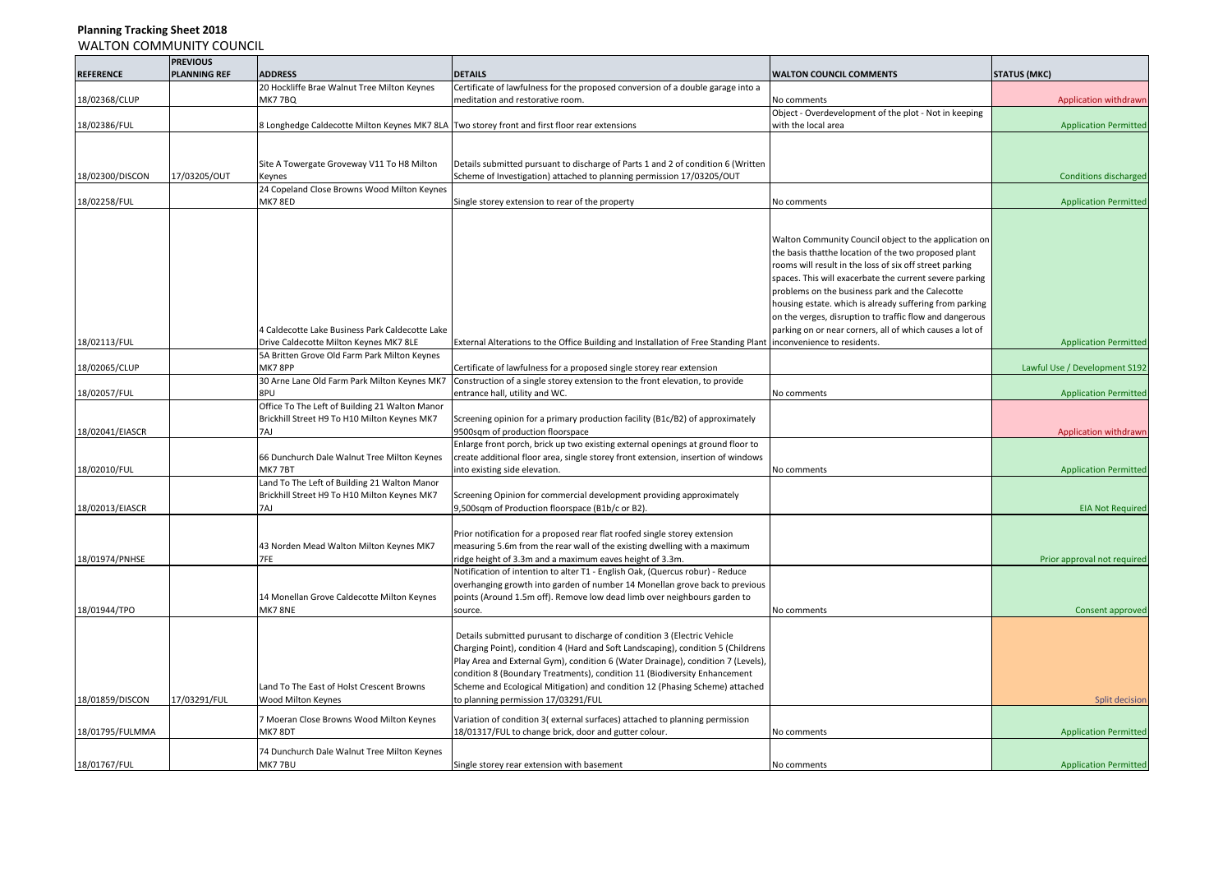|                  | <b>PREVIOUS</b>     |                                                 |                                                                                               |                                                          |                               |
|------------------|---------------------|-------------------------------------------------|-----------------------------------------------------------------------------------------------|----------------------------------------------------------|-------------------------------|
| <b>REFERENCE</b> | <b>PLANNING REF</b> | <b>ADDRESS</b>                                  | <b>DETAILS</b>                                                                                | <b>WALTON COUNCIL COMMENTS</b>                           | <b>STATUS (MKC)</b>           |
|                  |                     | 20 Hockliffe Brae Walnut Tree Milton Keynes     | Certificate of lawfulness for the proposed conversion of a double garage into a               |                                                          |                               |
| 18/02368/CLUP    |                     | <b>MK77BQ</b>                                   | meditation and restorative room.                                                              | No comments                                              | Application withdrawn         |
|                  |                     |                                                 |                                                                                               | Object - Overdevelopment of the plot - Not in keeping    |                               |
| 18/02386/FUL     |                     |                                                 | 8 Longhedge Caldecotte Milton Keynes MK7 8LA Two storey front and first floor rear extensions | with the local area                                      | <b>Application Permitted</b>  |
|                  |                     |                                                 |                                                                                               |                                                          |                               |
|                  |                     |                                                 |                                                                                               |                                                          |                               |
|                  |                     | Site A Towergate Groveway V11 To H8 Milton      | Details submitted pursuant to discharge of Parts 1 and 2 of condition 6 (Written              |                                                          |                               |
| 18/02300/DISCON  | 17/03205/OUT        | Keynes                                          | Scheme of Investigation) attached to planning permission 17/03205/OUT                         |                                                          | <b>Conditions discharged</b>  |
|                  |                     | 24 Copeland Close Browns Wood Milton Keynes     |                                                                                               |                                                          |                               |
| 18/02258/FUL     |                     | MK7 8ED                                         | Single storey extension to rear of the property                                               | No comments                                              | <b>Application Permitted</b>  |
|                  |                     |                                                 |                                                                                               |                                                          |                               |
|                  |                     |                                                 |                                                                                               |                                                          |                               |
|                  |                     |                                                 |                                                                                               | Walton Community Council object to the application on    |                               |
|                  |                     |                                                 |                                                                                               | the basis thatthe location of the two proposed plant     |                               |
|                  |                     |                                                 |                                                                                               | rooms will result in the loss of six off street parking  |                               |
|                  |                     |                                                 |                                                                                               | spaces. This will exacerbate the current severe parking  |                               |
|                  |                     |                                                 |                                                                                               | problems on the business park and the Calecotte          |                               |
|                  |                     |                                                 |                                                                                               | housing estate. which is already suffering from parking  |                               |
|                  |                     |                                                 |                                                                                               | on the verges, disruption to traffic flow and dangerous  |                               |
|                  |                     | 4 Caldecotte Lake Business Park Caldecotte Lake |                                                                                               | parking on or near corners, all of which causes a lot of |                               |
| 18/02113/FUL     |                     | Drive Caldecotte Milton Keynes MK7 8LE          | External Alterations to the Office Building and Installation of Free Standing Plant           | inconvenience to residents.                              | <b>Application Permitted</b>  |
|                  |                     | 5A Britten Grove Old Farm Park Milton Keynes    |                                                                                               |                                                          |                               |
| 18/02065/CLUP    |                     | MK7 8PP                                         | Certificate of lawfulness for a proposed single storey rear extension                         |                                                          | Lawful Use / Development S192 |
|                  |                     | 30 Arne Lane Old Farm Park Milton Keynes MK7    | Construction of a single storey extension to the front elevation, to provide                  |                                                          |                               |
| 18/02057/FUL     |                     | 8PU                                             | entrance hall, utility and WC.                                                                | No comments                                              | <b>Application Permitted</b>  |
|                  |                     | Office To The Left of Building 21 Walton Manor  |                                                                                               |                                                          |                               |
|                  |                     | Brickhill Street H9 To H10 Milton Keynes MK7    | Screening opinion for a primary production facility (B1c/B2) of approximately                 |                                                          |                               |
| 18/02041/EIASCR  |                     | 7AJ                                             | 9500sqm of production floorspace                                                              |                                                          | Application withdrawn         |
|                  |                     |                                                 | Enlarge front porch, brick up two existing external openings at ground floor to               |                                                          |                               |
|                  |                     | 66 Dunchurch Dale Walnut Tree Milton Keynes     | create additional floor area, single storey front extension, insertion of windows             |                                                          |                               |
| 18/02010/FUL     |                     | MK77BT                                          | into existing side elevation.                                                                 | No comments                                              | <b>Application Permitted</b>  |
|                  |                     | Land To The Left of Building 21 Walton Manor    |                                                                                               |                                                          |                               |
|                  |                     | Brickhill Street H9 To H10 Milton Keynes MK7    | Screening Opinion for commercial development providing approximately                          |                                                          |                               |
| 18/02013/EIASCR  |                     | 7AJ                                             | 9,500sqm of Production floorspace (B1b/c or B2).                                              |                                                          | <b>EIA Not Required</b>       |
|                  |                     |                                                 |                                                                                               |                                                          |                               |
|                  |                     |                                                 | Prior notification for a proposed rear flat roofed single storey extension                    |                                                          |                               |
|                  |                     | 43 Norden Mead Walton Milton Keynes MK7         | measuring 5.6m from the rear wall of the existing dwelling with a maximum                     |                                                          |                               |
| 18/01974/PNHSE   |                     | 7FE                                             | ridge height of 3.3m and a maximum eaves height of 3.3m.                                      |                                                          | Prior approval not required   |
|                  |                     |                                                 | Notification of intention to alter T1 - English Oak, (Quercus robur) - Reduce                 |                                                          |                               |
|                  |                     |                                                 | overhanging growth into garden of number 14 Monellan grove back to previous                   |                                                          |                               |
|                  |                     | 14 Monellan Grove Caldecotte Milton Keynes      | points (Around 1.5m off). Remove low dead limb over neighbours garden to                      |                                                          |                               |
| 18/01944/TPO     |                     | MK78NE                                          | source.                                                                                       | No comments                                              | Consent approved              |
|                  |                     |                                                 |                                                                                               |                                                          |                               |
|                  |                     |                                                 | Details submitted purusant to discharge of condition 3 (Electric Vehicle                      |                                                          |                               |
|                  |                     |                                                 | Charging Point), condition 4 (Hard and Soft Landscaping), condition 5 (Childrens              |                                                          |                               |
|                  |                     |                                                 | Play Area and External Gym), condition 6 (Water Drainage), condition 7 (Levels),              |                                                          |                               |
|                  |                     |                                                 | condition 8 (Boundary Treatments), condition 11 (Biodiversity Enhancement                     |                                                          |                               |
|                  |                     | Land To The East of Holst Crescent Browns       | Scheme and Ecological Mitigation) and condition 12 (Phasing Scheme) attached                  |                                                          |                               |
| 18/01859/DISCON  | 17/03291/FUL        | Wood Milton Keynes                              | to planning permission 17/03291/FUL                                                           |                                                          | Split decision                |
|                  |                     |                                                 |                                                                                               |                                                          |                               |
|                  |                     | 7 Moeran Close Browns Wood Milton Keynes        | Variation of condition 3(external surfaces) attached to planning permission                   |                                                          |                               |
| 18/01795/FULMMA  |                     | MK7 8DT                                         | 18/01317/FUL to change brick, door and gutter colour.                                         | <b>Vo comments</b>                                       | <b>Application Permitted</b>  |
|                  |                     | 74 Dunchurch Dale Walnut Tree Milton Keynes     |                                                                                               |                                                          |                               |
| 18/01767/FUL     |                     | MK77BU                                          | Single storey rear extension with basement                                                    | No comments                                              | <b>Application Permitted</b>  |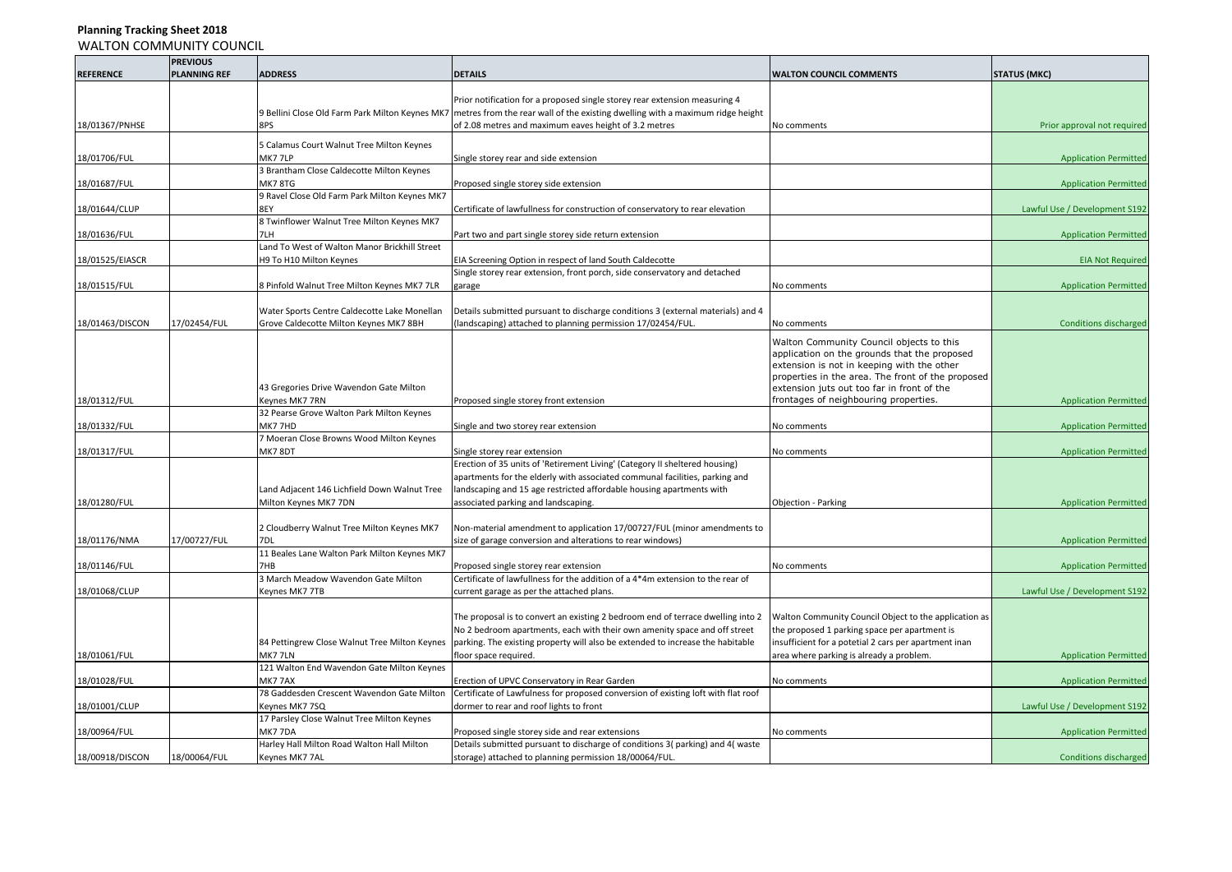|                  | <b>PREVIOUS</b>     |                                                      |                                                                                   |                                                       |                               |
|------------------|---------------------|------------------------------------------------------|-----------------------------------------------------------------------------------|-------------------------------------------------------|-------------------------------|
| <b>REFERENCE</b> | <b>PLANNING REF</b> | <b>ADDRESS</b>                                       | <b>DETAILS</b>                                                                    | <b>WALTON COUNCIL COMMENTS</b>                        | <b>STATUS (MKC)</b>           |
|                  |                     |                                                      |                                                                                   |                                                       |                               |
|                  |                     |                                                      | Prior notification for a proposed single storey rear extension measuring 4        |                                                       |                               |
|                  |                     | 9 Bellini Close Old Farm Park Milton Keynes MK7      | metres from the rear wall of the existing dwelling with a maximum ridge height    |                                                       |                               |
| 18/01367/PNHSE   |                     | 8PS                                                  | of 2.08 metres and maximum eaves height of 3.2 metres                             | No comments                                           | Prior approval not required   |
|                  |                     |                                                      |                                                                                   |                                                       |                               |
|                  |                     | 5 Calamus Court Walnut Tree Milton Keynes            |                                                                                   |                                                       |                               |
| 18/01706/FUL     |                     | MK77LP                                               | Single storey rear and side extension                                             |                                                       | <b>Application Permitted</b>  |
|                  |                     | 3 Brantham Close Caldecotte Milton Keynes            |                                                                                   |                                                       |                               |
| 18/01687/FUL     |                     | MK7 8TG                                              | Proposed single storey side extension                                             |                                                       | <b>Application Permitted</b>  |
|                  |                     | 9 Ravel Close Old Farm Park Milton Keynes MK7<br>8EY |                                                                                   |                                                       |                               |
| 18/01644/CLUP    |                     |                                                      | Certificate of lawfullness for construction of conservatory to rear elevation     |                                                       | Lawful Use / Development S192 |
|                  |                     | 8 Twinflower Walnut Tree Milton Keynes MK7           |                                                                                   |                                                       |                               |
| 18/01636/FUL     |                     | 7LH<br>Land To West of Walton Manor Brickhill Street | Part two and part single storey side return extension                             |                                                       | <b>Application Permitted</b>  |
|                  |                     |                                                      |                                                                                   |                                                       |                               |
| 18/01525/EIASCR  |                     | H9 To H10 Milton Keynes                              | EIA Screening Option in respect of land South Caldecotte                          |                                                       | <b>EIA Not Required</b>       |
|                  |                     |                                                      | Single storey rear extension, front porch, side conservatory and detached         |                                                       |                               |
| 18/01515/FUL     |                     | 8 Pinfold Walnut Tree Milton Keynes MK7 7LR          | garage                                                                            | No comments                                           | <b>Application Permitted</b>  |
|                  |                     |                                                      |                                                                                   |                                                       |                               |
|                  |                     | Water Sports Centre Caldecotte Lake Monellan         | Details submitted pursuant to discharge conditions 3 (external materials) and 4   |                                                       |                               |
| 18/01463/DISCON  | 17/02454/FUL        | Grove Caldecotte Milton Keynes MK7 8BH               | (landscaping) attached to planning permission 17/02454/FUL.                       | No comments                                           | <b>Conditions discharged</b>  |
|                  |                     |                                                      |                                                                                   | Walton Community Council objects to this              |                               |
|                  |                     |                                                      |                                                                                   | application on the grounds that the proposed          |                               |
|                  |                     |                                                      |                                                                                   | extension is not in keeping with the other            |                               |
|                  |                     |                                                      |                                                                                   | properties in the area. The front of the proposed     |                               |
|                  |                     | 43 Gregories Drive Wavendon Gate Milton              |                                                                                   | extension juts out too far in front of the            |                               |
| 18/01312/FUL     |                     | Keynes MK7 7RN                                       | Proposed single storey front extension                                            | frontages of neighbouring properties.                 | <b>Application Permitted</b>  |
|                  |                     | 32 Pearse Grove Walton Park Milton Keynes            |                                                                                   |                                                       |                               |
| 18/01332/FUL     |                     | MK7 7HD                                              | Single and two storey rear extension                                              | No comments                                           | <b>Application Permitted</b>  |
|                  |                     | 7 Moeran Close Browns Wood Milton Keynes             |                                                                                   |                                                       |                               |
| 18/01317/FUL     |                     | MK7 8DT                                              | Single storey rear extension                                                      | No comments                                           | <b>Application Permitted</b>  |
|                  |                     |                                                      | Erection of 35 units of 'Retirement Living' (Category II sheltered housing)       |                                                       |                               |
|                  |                     |                                                      | apartments for the elderly with associated communal facilities, parking and       |                                                       |                               |
|                  |                     | Land Adjacent 146 Lichfield Down Walnut Tree         | landscaping and 15 age restricted affordable housing apartments with              |                                                       |                               |
| 18/01280/FUL     |                     | Milton Keynes MK7 7DN                                | associated parking and landscaping.                                               | Objection - Parking                                   | <b>Application Permitted</b>  |
|                  |                     |                                                      |                                                                                   |                                                       |                               |
|                  |                     | 2 Cloudberry Walnut Tree Milton Keynes MK7           | Non-material amendment to application 17/00727/FUL (minor amendments to           |                                                       |                               |
| 18/01176/NMA     | 17/00727/FUL        | 7DL                                                  | size of garage conversion and alterations to rear windows)                        |                                                       | <b>Application Permitted</b>  |
|                  |                     | 11 Beales Lane Walton Park Milton Keynes MK7         |                                                                                   |                                                       |                               |
| 18/01146/FUL     |                     | 7HB                                                  | Proposed single storey rear extension                                             | No comments                                           | <b>Application Permitted</b>  |
|                  |                     | 3 March Meadow Wavendon Gate Milton                  | Certificate of lawfullness for the addition of a 4*4m extension to the rear of    |                                                       |                               |
| 18/01068/CLUP    |                     | Keynes MK7 7TB                                       | current garage as per the attached plans.                                         |                                                       | Lawful Use / Development S192 |
|                  |                     |                                                      |                                                                                   |                                                       |                               |
|                  |                     |                                                      | The proposal is to convert an existing 2 bedroom end of terrace dwelling into 2   | Walton Community Council Object to the application as |                               |
|                  |                     |                                                      | No 2 bedroom apartments, each with their own amenity space and off street         | the proposed 1 parking space per apartment is         |                               |
|                  |                     | 84 Pettingrew Close Walnut Tree Milton Keynes        | parking. The existing property will also be extended to increase the habitable    | insufficient for a potetial 2 cars per apartment inan |                               |
| 18/01061/FUL     |                     | MK7 7LN                                              | floor space required.                                                             | area where parking is already a problem.              | <b>Application Permitted</b>  |
|                  |                     | 121 Walton End Wavendon Gate Milton Keynes           |                                                                                   |                                                       |                               |
| 18/01028/FUL     |                     | <b>MK7 7AX</b>                                       | Erection of UPVC Conservatory in Rear Garden                                      | No comments                                           | <b>Application Permitted</b>  |
|                  |                     | 78 Gaddesden Crescent Wavendon Gate Milton           | Certificate of Lawfulness for proposed conversion of existing loft with flat roof |                                                       |                               |
| 18/01001/CLUP    |                     | Keynes MK7 7SQ                                       | dormer to rear and roof lights to front                                           |                                                       | Lawful Use / Development S192 |
|                  |                     | 17 Parsley Close Walnut Tree Milton Keynes           |                                                                                   |                                                       |                               |
| 18/00964/FUL     |                     | MK7 7DA                                              | Proposed single storey side and rear extensions                                   | No comments                                           | <b>Application Permitted</b>  |
|                  |                     | Harley Hall Milton Road Walton Hall Milton           | Details submitted pursuant to discharge of conditions 3( parking) and 4( waste    |                                                       |                               |
| 18/00918/DISCON  | 18/00064/FUL        | Keynes MK7 7AL                                       | storage) attached to planning permission 18/00064/FUL.                            |                                                       | <b>Conditions discharged</b>  |